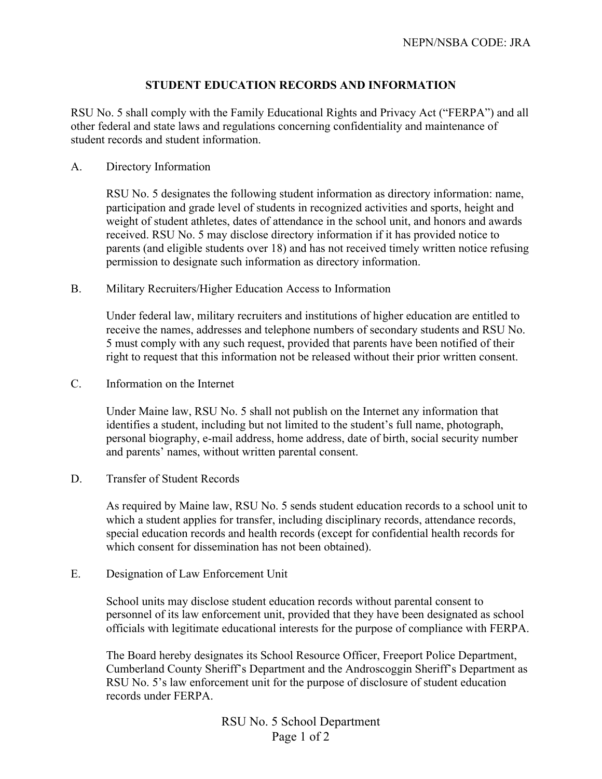## **STUDENT EDUCATION RECORDS AND INFORMATION**

RSU No. 5 shall comply with the Family Educational Rights and Privacy Act ("FERPA") and all other federal and state laws and regulations concerning confidentiality and maintenance of student records and student information.

A. Directory Information

RSU No. 5 designates the following student information as directory information: name, participation and grade level of students in recognized activities and sports, height and weight of student athletes, dates of attendance in the school unit, and honors and awards received. RSU No. 5 may disclose directory information if it has provided notice to parents (and eligible students over 18) and has not received timely written notice refusing permission to designate such information as directory information.

B. Military Recruiters/Higher Education Access to Information

Under federal law, military recruiters and institutions of higher education are entitled to receive the names, addresses and telephone numbers of secondary students and RSU No. 5 must comply with any such request, provided that parents have been notified of their right to request that this information not be released without their prior written consent.

C. Information on the Internet

Under Maine law, RSU No. 5 shall not publish on the Internet any information that identifies a student, including but not limited to the student's full name, photograph, personal biography, e-mail address, home address, date of birth, social security number and parents' names, without written parental consent.

D. Transfer of Student Records

As required by Maine law, RSU No. 5 sends student education records to a school unit to which a student applies for transfer, including disciplinary records, attendance records, special education records and health records (except for confidential health records for which consent for dissemination has not been obtained).

E. Designation of Law Enforcement Unit

School units may disclose student education records without parental consent to personnel of its law enforcement unit, provided that they have been designated as school officials with legitimate educational interests for the purpose of compliance with FERPA.

The Board hereby designates its School Resource Officer, Freeport Police Department, Cumberland County Sheriff's Department and the Androscoggin Sheriff's Department as RSU No. 5's law enforcement unit for the purpose of disclosure of student education records under FERPA

> RSU No. 5 School Department Page 1 of 2